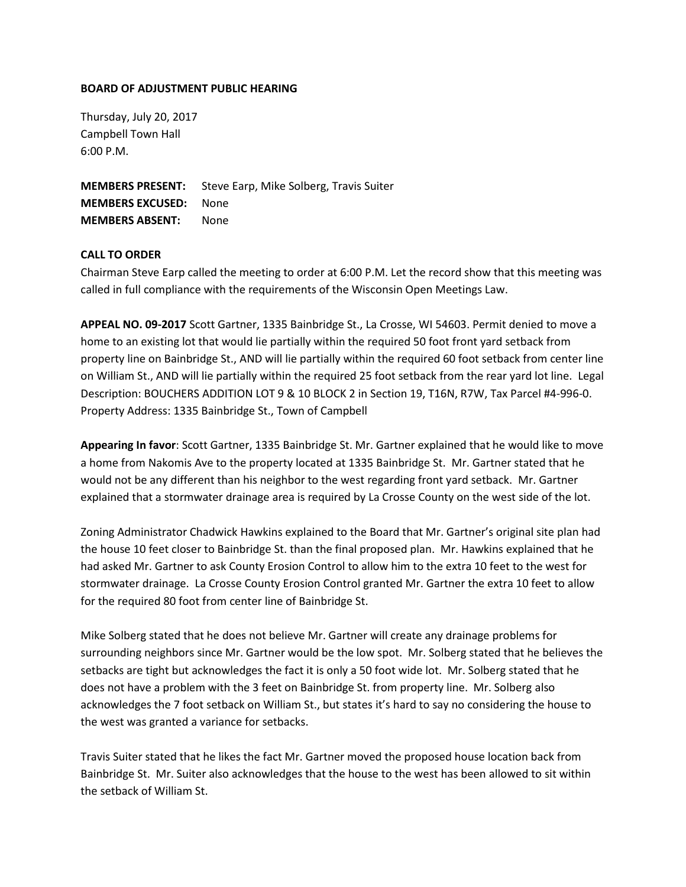## **BOARD OF ADJUSTMENT PUBLIC HEARING**

Thursday, July 20, 2017 Campbell Town Hall 6:00 P.M.

**MEMBERS PRESENT:** Steve Earp, Mike Solberg, Travis Suiter **MEMBERS EXCUSED:** None **MEMBERS ABSENT:** None

## **CALL TO ORDER**

Chairman Steve Earp called the meeting to order at 6:00 P.M. Let the record show that this meeting was called in full compliance with the requirements of the Wisconsin Open Meetings Law.

**APPEAL NO. 09-2017** Scott Gartner, 1335 Bainbridge St., La Crosse, WI 54603. Permit denied to move a home to an existing lot that would lie partially within the required 50 foot front yard setback from property line on Bainbridge St., AND will lie partially within the required 60 foot setback from center line on William St., AND will lie partially within the required 25 foot setback from the rear yard lot line. Legal Description: BOUCHERS ADDITION LOT 9 & 10 BLOCK 2 in Section 19, T16N, R7W, Tax Parcel #4-996-0. Property Address: 1335 Bainbridge St., Town of Campbell

**Appearing In favor**: Scott Gartner, 1335 Bainbridge St. Mr. Gartner explained that he would like to move a home from Nakomis Ave to the property located at 1335 Bainbridge St. Mr. Gartner stated that he would not be any different than his neighbor to the west regarding front yard setback. Mr. Gartner explained that a stormwater drainage area is required by La Crosse County on the west side of the lot.

Zoning Administrator Chadwick Hawkins explained to the Board that Mr. Gartner's original site plan had the house 10 feet closer to Bainbridge St. than the final proposed plan. Mr. Hawkins explained that he had asked Mr. Gartner to ask County Erosion Control to allow him to the extra 10 feet to the west for stormwater drainage. La Crosse County Erosion Control granted Mr. Gartner the extra 10 feet to allow for the required 80 foot from center line of Bainbridge St.

Mike Solberg stated that he does not believe Mr. Gartner will create any drainage problems for surrounding neighbors since Mr. Gartner would be the low spot. Mr. Solberg stated that he believes the setbacks are tight but acknowledges the fact it is only a 50 foot wide lot. Mr. Solberg stated that he does not have a problem with the 3 feet on Bainbridge St. from property line. Mr. Solberg also acknowledges the 7 foot setback on William St., but states it's hard to say no considering the house to the west was granted a variance for setbacks.

Travis Suiter stated that he likes the fact Mr. Gartner moved the proposed house location back from Bainbridge St. Mr. Suiter also acknowledges that the house to the west has been allowed to sit within the setback of William St.